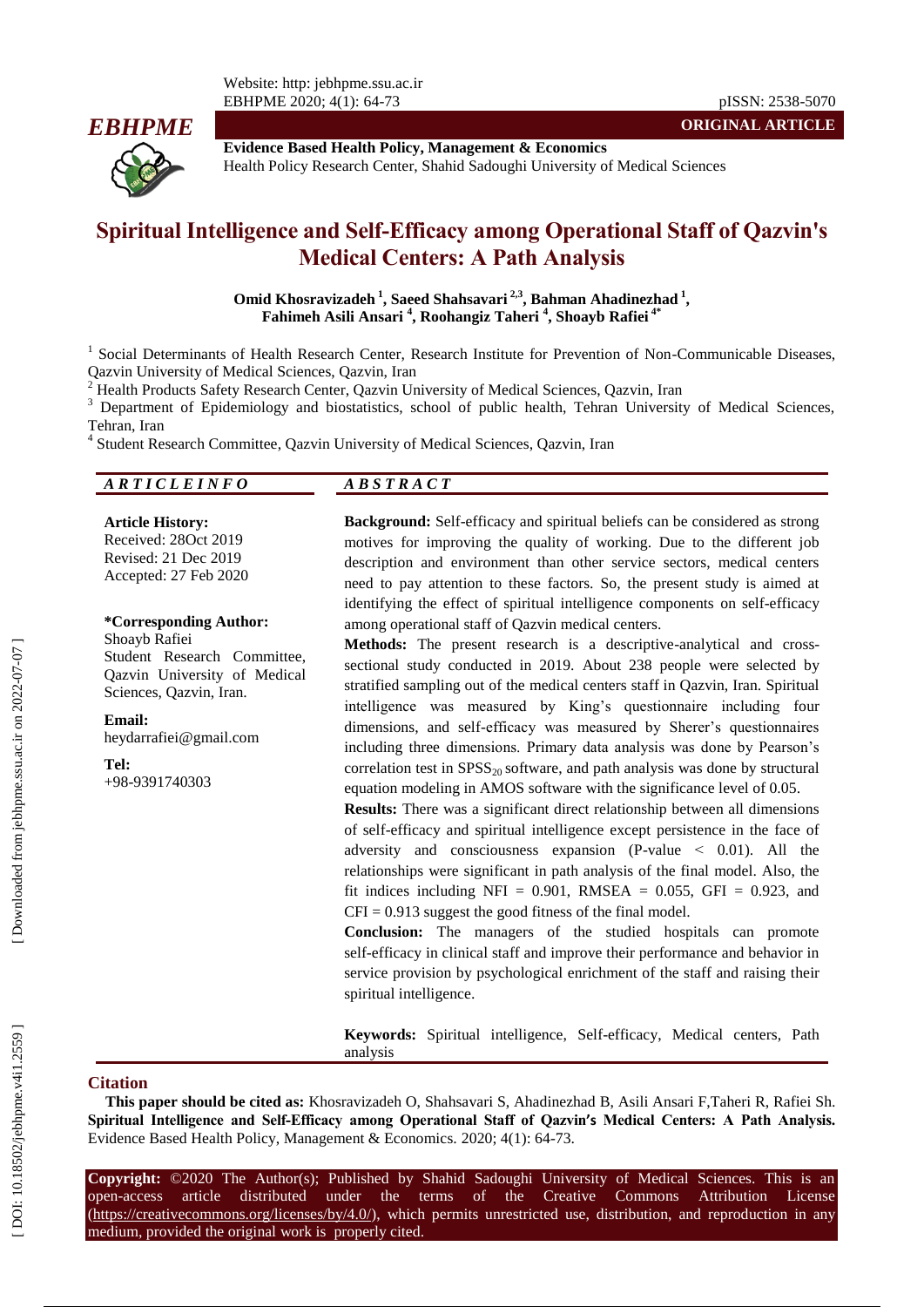

**Evidence Based Health Policy, Management & Economics** Health Policy Research Center, Shahid Sadoughi University of Medical Sciences

# **Spiritual Intelligence and Self-Efficacy among Operational Staff of Qazvin's Medical Centers: A Path Analysis**

**Omid Khosravizadeh 1 , Saeed Shahsavari 2,3, Bahman Ahadinezhad 1 , Fahimeh [Asili Ansari](mailto:fahimehasiliansari@gmail.ir) 4 , [Roohangiz](mailto:roohangiztaheri65@gmail.com) Taheri 4 , Shoayb Rafiei 4 \***

<sup>1</sup> Social Determinants of Health Research Center, Research Institute for Prevention of Non-Communicable Diseases,

Qazvin University of Medical Sciences, Qazvin, Iran<br>
<sup>2</sup> Health Products Safety Research Center, Qazvin University of Medical Sciences, Qazvin, Iran<br>
<sup>3</sup> Department of Epidemiology and biostatistics, school of public healt Tehran, Iran <sup>4</sup>

<sup>4</sup> Student Research Committee, Qazvin University of Medical Sciences, Qazvin, Iran

*A R T I C L E I N F O A B S T R A C T*

**Article History:** Received: 28Oct 2019 Revised: 21 Dec 2019 Accepted: 27 Feb 2020

**\*Corresponding Author:** Shoayb Rafiei Student Research Committee, Qazvin University of Medical Sciences, Qazvin, Iran.

**Email:** heydarrafiei@gmail.com

**Tel:** +98 -9391740303 **Background:** Self-efficacy and spiritual beliefs can be considered as strong motives for improving the quality of working. Due to the different job description and environment than other service sectors, medical centers need to pay attention to these factors. So, the present study is aimed at identifying the effect of spiritual intelligence components on self-efficacy among operational staff of Qazvin medical centers.

Methods: The present research is a descriptive-analytical and crosssectional study conducted in 2019. About 238 people were selected by stratified sampling out of the medical centers staff in Qazvin, Iran. Spiritual intelligence was measured by King's questionnaire including four dimensions, and self -efficacy was measured by Sherer's questionnaires including three dimensions. Primary data analysis was done by Pearson's correlation test in  $SPSS_{20}$  software, and path analysis was done by structural equation modeling in AMOS software with the significance level of 0.05.

**Results:** There was a significant direct relationship between all dimensions of self-efficacy and spiritual intelligence except persistence in the face of adversity and consciousness expansion (P-value  $\leq$  0.01). All the relationships were significant in path analysis of the final model. Also, the fit indices including NFI =  $0.901$ , RMSEA =  $0.055$ , GFI = 0.923, and  $CFI = 0.913$  suggest the good fitness of the final model.

**Conclusion:** The managers of the studied hospitals can promote self-efficacy in clinical staff and improve their performance and behavior in service provision by psychological enrichment of the staff and raising their spiritual intelligence.

**Keywords:** Spiritual intelligence, Self-efficacy, Medical centers, Path analysis

#### **Ci tation**

**This paper should be cited as:** Khosravizadeh O, Shahsavari S, Ahadinezhad B, [Asili Ansari](mailto:fahimehasiliansari@gmail.ir) F [,Taheri](mailto:roohangiztaheri65@gmail.com) R, Rafiei Sh. **Spiritual Intelligence and Self-Efficacy among Operational Staff of Qazvin's Medical Centers: A Path Analysis .** Evidence Based Health Policy, Management & Economics. 2020; 4 ( 1): 64 -73.

**Copyright:** ©2020 The Author(s); Published by Shahid Sadoughi University of Medical Sciences. This is an open-access -access article distributed under the terms of the Creative Commons Attribution License (https://creativecommons.org/licenses/by/4.0/), which permits unrestricted use, distribution, and reproduction in any medium, provided the original work is properly cited.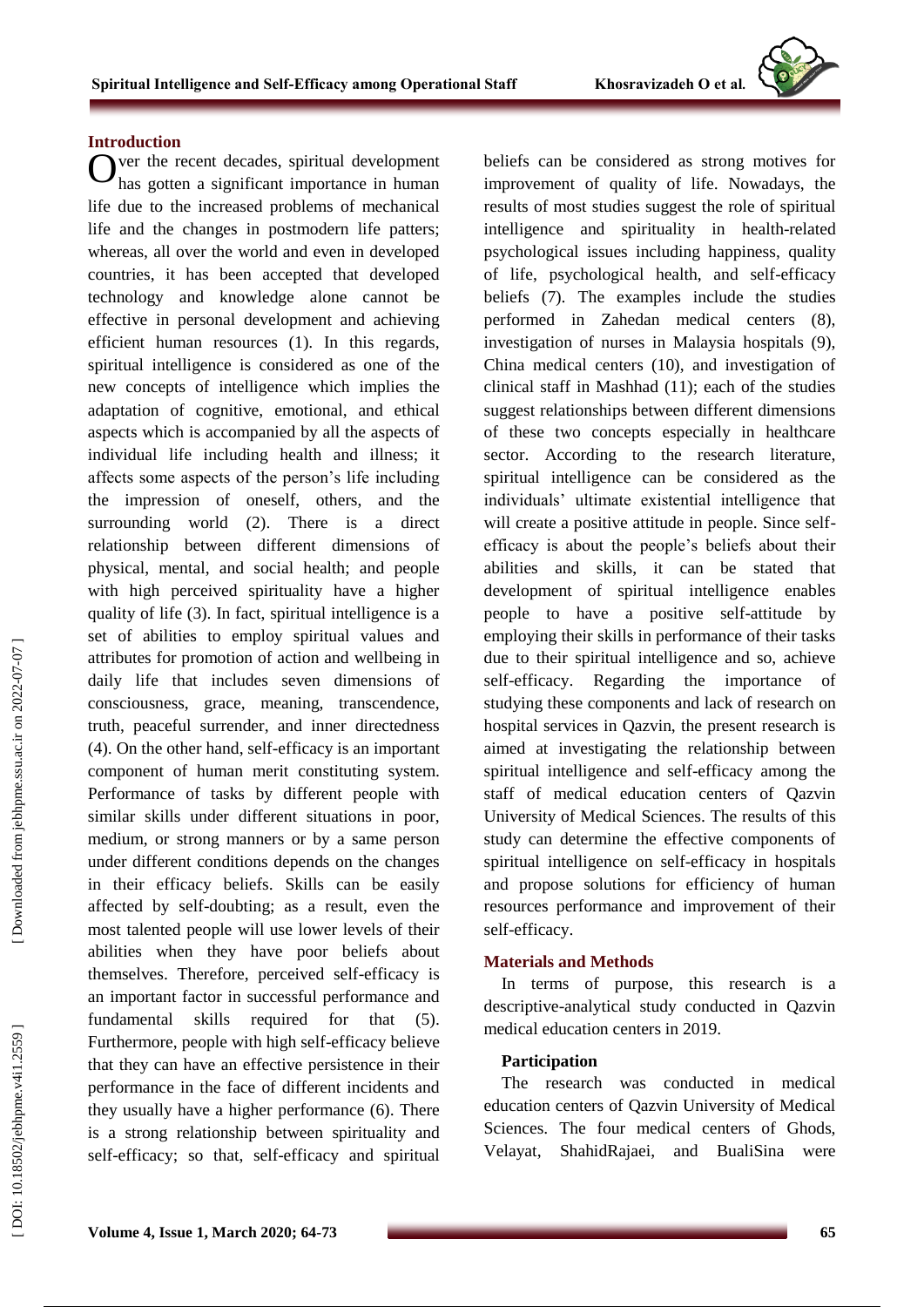#### **Introduction**

ver the recent decades, spiritual development Over the recent decades, spiritual development<br>has gotten a significant importance in human life due to the increased problems of mechanical life and the changes in postmodern life patters; whereas, all over the world and even in developed countries, it has been accepted that developed technology and knowledge alone cannot be effective in personal development and achieving efficient human resources (1). In this regards, spiritual intelligence is considered as one of the new concepts of intelligence which implies the adaptation of cognitive, emotional, and ethical aspects which is accompanied by all the aspects of individual life including health and illness; it affects some aspects of the person's life including the impression of oneself, others, and the surrounding world (2). There is a direct relationship between different dimensions of physical, mental, and social health; and people with high perceived spirituality have a higher quality of life (3). In fact, spiritual intelligence is a set of abilities to employ spiritual values and attributes for promotion of action and wellbeing in daily life that includes seven dimensions of consciousness, grace, meaning, transcendence, truth, peaceful surrender, and inner directedness (4). On the other hand, self-efficacy is an important component of human merit constituting system. Performance of tasks by different people with similar skills under different situations in poor, medium, or strong manners or by a same person under different conditions depends on the changes in their efficacy beliefs. Skills can be easily affected by self-doubting; as a result, even the most talented people will use lower levels of their abilities when they have poor beliefs about themselves. Therefore, perceived self -efficacy is an important factor in successful performance and fundamental skills required for that (5). Furthermore, people with high self -efficacy believe that they can have an effective persistence in their performance in the face of different incidents and they usually have a higher performance (6). There is a strong relationship between spirituality and self-efficacy; so that, self-efficacy and spiritual

beliefs can be considered as strong motives for improvement of quality of life. Nowadays, the results of most studie s suggest the role of spiritual intelligence and spirituality in health -related psychological issues including happiness, quality of life, psychological health, and self -efficacy beliefs (7). The examples include the studies performed in Zahedan medical centers (8), investigation of nurses in Malaysia hospitals (9), China medical centers (10), and investigation of clinical staff in Mashhad (11); each of the studies suggest relationships between different dimensions of these two concepts especially in healthcare sector. According to the research literature, spiritual intelligence can be considered as the individuals' ultimate existential intelligence that will create a positive attitude in people. Since self efficacy is about the people's beliefs about their abilities and skills, it can be stated that development of spiritual intelligence enables people to have a positive self -attitude by employing their skills in performance of their tasks due to their spiritual intelligence and so, achieve self-efficacy. Regarding the importance of studying these components and lack of research on hospital services in Qazvin, the present research is aimed at investigating the relationship between spiritual intelligence and self -efficacy among the staff of medical education centers of Qazvin University of Medical Sciences. The results of this study can determine the effective components of spiritual intelligence on self-efficacy in hospitals and propos e solutions for efficiency of human resources performance and improvement of their self-efficacy.

#### **Materials and Methods**

In terms of purpose, this research is a descriptive -analytical study conducted in Qazvin medical education centers in 2019.

### **Participation**

The research was conducted in medical education centers of Qazvin University of Medical Sciences. The four medical centers of Ghods, Velayat, ShahidRajaei, and BualiSina were

Downloaded from jebhpme.ssu.ac.ir on 2022-07-07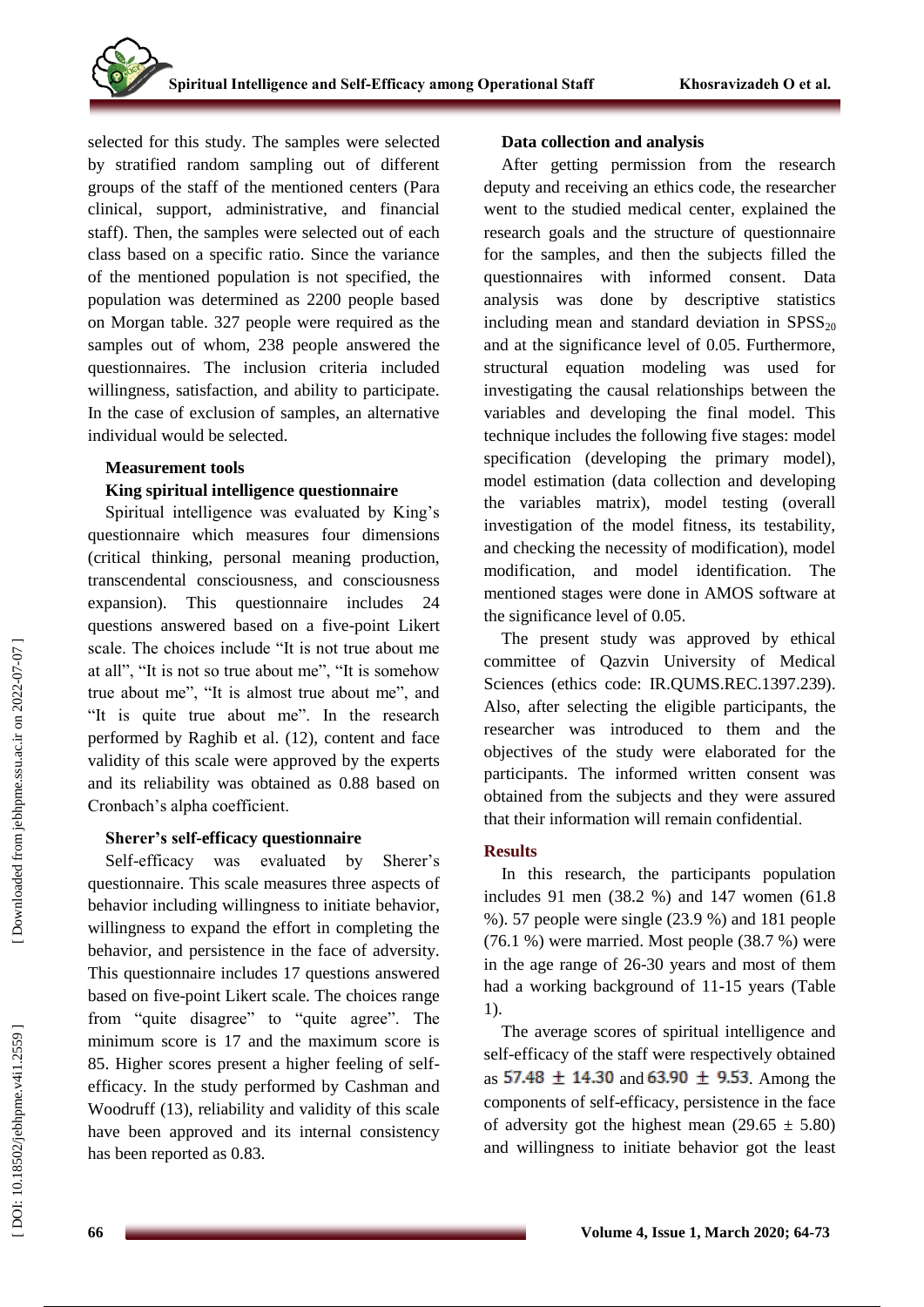selected for this study. The samples were selected by stratified random sampling out of different groups of the staff of the mentioned centers (Para clinical, support, administrative, and financial staff). Then, the samples were selected out of each class based on a specific ratio. Since the variance of the mentioned population is not specified, the population was determined as 2200 people based on Morgan table. 327 people were require d as the samples out of whom, 238 people answered the questionnaires. The inclusion criteria included willingness, satisfaction, and ability to participate. In the case of exclusion of samples, an alternative individual would be selected.

#### **Measurement tools**

### **King spiritual intelligence questionnaire**

Spiritual intelligence was evaluated by King's questionnaire which measures four dimensions (critical thinking, personal meaning production, transcendental consciousness, and consciousness expansion). This questionnaire includes 24 questions answered based on a five -point Likert scale. The choices include "It is not true about me at all", "It is not so true about me", "It is somehow true about me", "It is almost true about me", and "It is quite true about me". In the research performed by Raghib et al . (12), content and face validity of this scale were approved by the experts and its reliability was obtained as 0.88 based on Cronbach's alpha coefficient.

### **Sherer's self-efficacy questionnaire**

Self-efficacy was evaluated by Sherer's questionnaire. This scale measures three aspects of behavior including willingness to initiate behavior, willingness to expand the effort in completing the behavior, and persistence in the face of adversity. This questionnaire includes 17 questions answered based on fiv e -point Likert scale. The choices range from "quite disagree" to "quite agree". The minimum score is 17 and the maximum score is 85. Higher scores present a higher feeling of self efficacy. In the study performed by Cashman and Woodruff (13), reliability and validity of this scale have been approved and its internal consistency has been reported as 0.83.

#### **Data collection and analysis**

After getting permission from the research deputy and receiving an ethics code, the researcher went to the studied medical center, explained the research goals and the structure of questionnaire for the samples, and then the subjects filled the questionnaires with informed consent. Data analysis was done by descriptive statistics including mean and standard deviation in  $SPSS<sub>20</sub>$ and at the significance level of 0.05. Furthermore, structural equation modeling was used for investigating the causal relationships between the variables and developing the final model. This technique includes the following five stages: model specification (developing the primary model), model estimation (data collection and developing the variables matrix), model testing (overall investigation of the model fitness, its testability, and checking the necessity of modification), model modification, and model identification. The mentioned stages were done in AMOS software at the significance level of 0.05.

The present study was approved by ethical committee of Qazvin University of Medical Sciences (ethics code: IR.QUMS.REC.1397.239). Also, after selecting the eligible participants, the researcher was introduced to them and the objectives of the study were elaborated for the participants. The informed written consent was obtained from the subjects and they were assured that their information will remain confidential .

# **Results**

In this research, the participants population includes 91 men (38.2 %) and 147 women (61.8 %). 57 people were single (23.9 %) and 181 people (76.1 %) were married. Most people (38.7 %) were in the age range of 26 -30 years and most of them had a working background of 11 -15 years (Table 1).

The average scores of spiritual intelligence and self-efficacy of the staff were respectively obtained as  $57.48 \pm 14.30$  and  $63.90 \pm 9.53$  Among the components of self-efficacy, persistence in the face of adversity got the highest mean  $(29.65 \pm 5.80)$ and willingness to initiate behavior got the least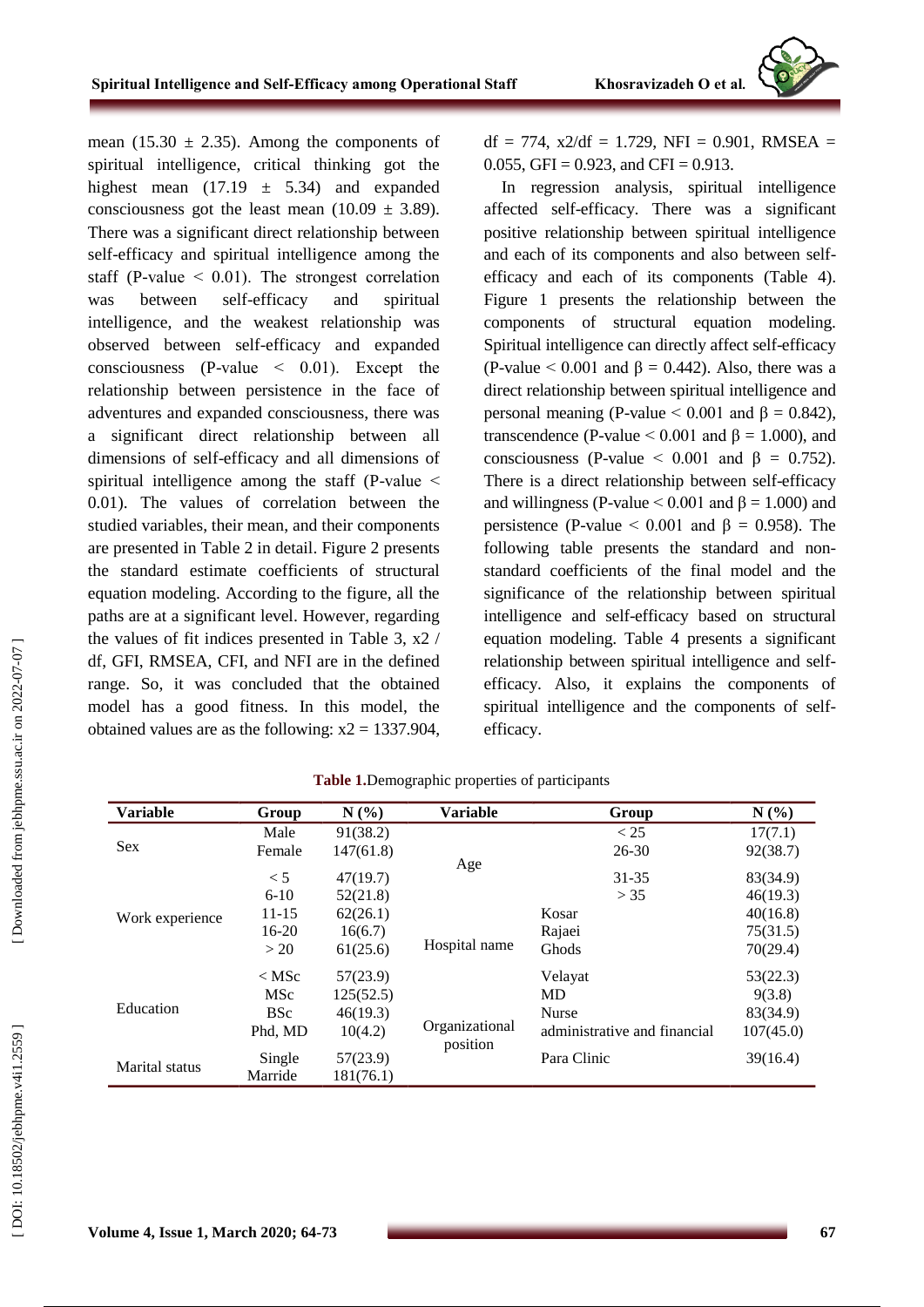

mean (15.30  $\pm$  2.35). Among the components of spiritual intelligence, critical thinking got the highest mean  $(17.19 \pm 5.34)$  and expanded consciousness got the least mean  $(10.09 \pm 3.89)$ . There was a significant direct relationship between self-efficacy and spiritual intelligence among the staff (P-value  $\leq$  0.01). The strongest correlation was between self-efficacy and spiritual intelligence, and the weakest relationship was observed between self -efficacy and expanded consciousness (P -value ˂ 0.01). Except the relationship between persistence in the face of adventures and expanded consciousness, there was a significant direct relationship between all dimensions of sel f-efficacy and all dimensions of spiritual intelligence among the staff (P-value  $\leq$ 0.01). The values of correlation between the studied variables, their mean, and their components are presented in Table 2 in detail. Figure 2 presents the standard estimate coefficients of structural equation modeling. According to the figure, all the paths are at a significant level. However, regarding the values of fit indices presented in Table 3, x2 / df, GFI, RMSEA, CFI, and NFI are in the defined range. So, it was concluded that the obtained model has a good fitness. In this model, the obtained values are as the following:  $x2 = 1337.904$ ,  $df = 774$ ,  $x2/df = 1.729$ ,  $NFI = 0.901$ ,  $RMSEA =$ 0.055, GFI =  $0.923$ , and CFI = 0.913.

In regression analysis, spiritual intelligence affected self-efficacy. There was a significant positive relationship between spiritual intelligence and each of its components and also between selfefficacy and each of its components (Table 4). Figure 1 presents the relationship between the components of structural equation modeling. Spiritual intelligence can directly affect self-efficacy (P-value  $\leq 0.001$  and  $\beta = 0.442$ ). Also, there was a direct relationship between spiritual intelligence and personal meaning (P-value  $\leq 0.001$  and β = 0.842), transcendence (P-value  $\leq 0.001$  and  $\beta = 1.000$ ), and consciousness (P-value  $\leq$  0.001 and  $\beta = 0.752$ ). There is a direct relationship between self-efficacy and willingness (P-value  $\leq 0.001$  and  $\beta = 1.000$ ) and persistence (P-value  $\leq$  0.001 and β = 0.958). The following table presents the standard and non standard coefficients of the final model and the significance of the relationship between spiritual intelligence and self-efficacy based on structural equation modeling. Table 4 presents a significant relationship between spiritual intelligence and selfefficacy. Also, it explains the components of spiritual intelligence and the components of selfefficacy.

| <b>Variable</b>                     | Group      | $N(\%)$   | <b>Variable</b>            | Group                        | $N(\%)$   |
|-------------------------------------|------------|-----------|----------------------------|------------------------------|-----------|
|                                     | Male       | 91(38.2)  |                            | < 25                         | 17(7.1)   |
| Sex<br>Work experience<br>Education | Female     | 147(61.8) |                            | $26 - 30$                    | 92(38.7)  |
|                                     | < 5        | 47(19.7)  | Age                        | 31-35                        | 83(34.9)  |
|                                     | $6 - 10$   | 52(21.8)  |                            | > 35                         | 46(19.3)  |
|                                     | $11 - 15$  | 62(26.1)  |                            | Kosar                        | 40(16.8)  |
|                                     | $16 - 20$  | 16(6.7)   | Hospital name              | Rajaei                       | 75(31.5)  |
|                                     | >20        | 61(25.6)  |                            | Ghods                        | 70(29.4)  |
|                                     | $<$ MSc    | 57(23.9)  |                            | Velayat                      | 53(22.3)  |
|                                     | MSc        | 125(52.5) |                            | MD                           | 9(3.8)    |
|                                     | <b>BSc</b> | 46(19.3)  | Organizational<br>position | <b>Nurse</b>                 | 83(34.9)  |
|                                     | Phd, MD    | 10(4.2)   |                            | administrative and financial | 107(45.0) |
|                                     | Single     | 57(23.9)  |                            | Para Clinic                  | 39(16.4)  |
| <b>Marital</b> status               | Marride    | 181(76.1) |                            |                              |           |

|  |  | Table 1.Demographic properties of participants |  |  |  |
|--|--|------------------------------------------------|--|--|--|
|--|--|------------------------------------------------|--|--|--|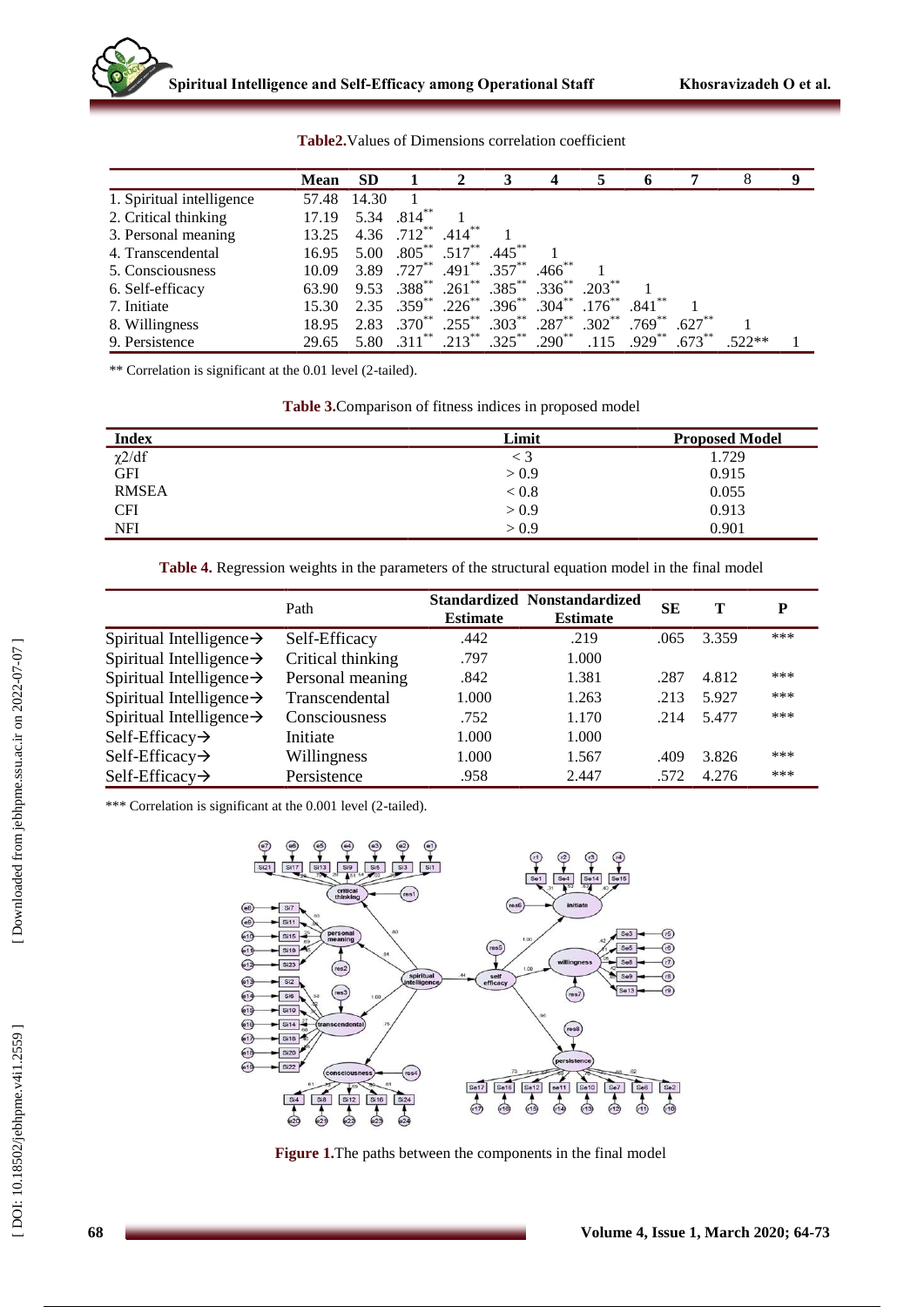|                           | Mean  | <b>SD</b> |                         |                                         | 3          |                  |                      |           |           | 8        | -9 |
|---------------------------|-------|-----------|-------------------------|-----------------------------------------|------------|------------------|----------------------|-----------|-----------|----------|----|
| 1. Spiritual intelligence | 57.48 | 14.30     |                         |                                         |            |                  |                      |           |           |          |    |
| 2. Critical thinking      | 17.19 | 5.34      | $.814***$               |                                         |            |                  |                      |           |           |          |    |
| 3. Personal meaning       | 13.25 |           | 4.36 $.712***$          | $.414***$                               |            |                  |                      |           |           |          |    |
| 4. Transcendental         | 16.95 | 5.00      | $.805***$ .517**        |                                         | $.445***$  |                  |                      |           |           |          |    |
| 5. Consciousness          | 10.09 |           | 3.89 .727 <sup>**</sup> | $.491$ ** $.357$ **                     |            | $.466$ **        |                      |           |           |          |    |
| 6. Self-efficacy          | 63.90 |           |                         | 9.53 .388** .261** .385** .336** .203** |            |                  |                      |           |           |          |    |
| 7. Initiate               | 15.30 |           | $2.35 \t .359^{**}$ .   | $.226$ **                               | $396^{**}$ | $.304***$        | $.176$ <sup>**</sup> | $.841***$ |           |          |    |
| 8. Willingness            | 18.95 |           | $2.83 \t .370^{**}$ .   | $.255***$                               |            | $.303***$ .287** | $.302**$             | $.769***$ | $.627**$  |          |    |
| 9. Persistence            | 29.65 |           | 5.80 .311**             | $.213***$                               | $.325***$  | $.290**$         | .115                 | $.929***$ | $.673***$ | $.522**$ |    |

**Table2 .**Values of Dimensions correlation coefficient

\*\* Correlation is significant at the 0.01 level (2 -tailed).

**Table 3.**Comparison of fitness indices in proposed model

| <b>Index</b>         | Limit | <b>Proposed Model</b> |
|----------------------|-------|-----------------------|
| $\frac{\chi 2}{d}$ f | $<$ 3 | 1.729                 |
|                      | > 0.9 | 0.915                 |
| <b>RMSEA</b>         | < 0.8 | 0.055                 |
| <b>CFI</b>           | > 0.9 | 0.913                 |
| <b>NFI</b>           | > 0.9 | 0.901                 |

**Table 4.** Regression weights in the parameters of the structural equation model in the final model

|                                      | Path              | <b>Estimate</b> | <b>Standardized Nonstandardized</b><br><b>Estimate</b> | <b>SE</b> | т     | D   |
|--------------------------------------|-------------------|-----------------|--------------------------------------------------------|-----------|-------|-----|
| Spiritual Intelligence $\rightarrow$ | Self-Efficacy     | .442            | .219                                                   | .065      | 3.359 | *** |
| Spiritual Intelligence $\rightarrow$ | Critical thinking | .797            | 1.000                                                  |           |       |     |
| Spiritual Intelligence $\rightarrow$ | Personal meaning  | .842            | 1.381                                                  | .287      | 4.812 | *** |
| Spiritual Intelligence $\rightarrow$ | Transcendental    | 1.000           | 1.263                                                  | .213      | 5.927 | *** |
| Spiritual Intelligence $\rightarrow$ | Consciousness     | .752            | 1.170                                                  | .214      | 5.477 | *** |
| Self-Efficacy $\rightarrow$          | Initiate          | 1.000           | 1.000                                                  |           |       |     |
| Self-Efficacy $\rightarrow$          | Willingness       | 1.000           | 1.567                                                  | .409      | 3.826 | *** |
| Self-Efficacy $\rightarrow$          | Persistence       | .958            | 2.447                                                  | .572      | 4.276 | *** |

\*\*\* Correlation is significant at the 0.001 level (2 -tailed).



**Figure 1 .**The paths between the components in the final model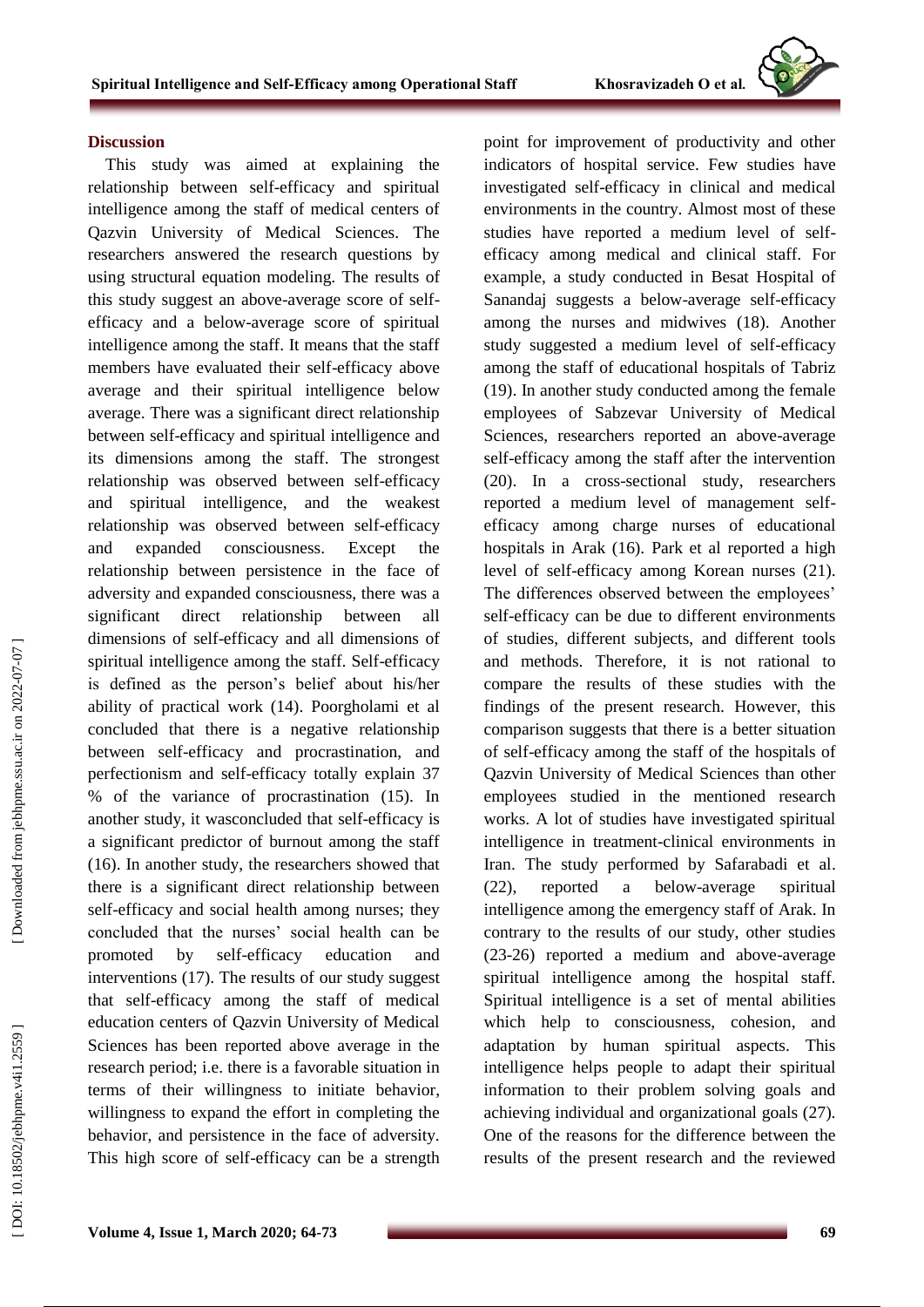#### **Discussion**

This study was aimed at explaining the relationship between self-efficacy and spiritual intelligence among the staff of medical centers of Qazvin University of Medical Sciences. The researchers answered the research questions by using structural equation modeling. The results of this study suggest an above -average score of self efficacy and a below -average score of spiritual intelligence among the staff. It means that the staff members have evaluated their self -efficacy above average and their spiritual intelligence below average. There was a significant direct relationship between self-efficacy and spiritual intelligence and its dimensions among the staff. The strongest relationship was observed between self -efficacy and spiritual intelligence, and the weakest relationship was observed between self -efficacy and expanded consciousness. Except the relationship between persistence in the face of adversity and expanded consciousness, there was a significant direct relationship between all dimensions of self-efficacy and all dimensions of spiritual intelligence among the staff. Self -efficacy is defined as the person's belief about his/her ability of practical work (14). Poorgholami et al concluded that there is a negative relationship between self-efficacy and procrastination, and perfectionism and self -efficacy totally explain 37 % of the variance of procrastination (15). In another study, it wasconcluded that self-efficacy is a significant predictor of burnout among the staff (16). In another study, the researchers showed that there is a significant direct relationship between self-efficacy and social health among nurses; they concluded that the nurses' social health can be promoted by self-efficacy education and interventions (17). The results of our study suggest that self-efficacy among the staff of medical education centers of Qazvin University of Medical Sciences has been reported above average in the research period; i.e. there is a favorable situation in terms of their willingness to initiate behavior, willingness to expand the effort in completing the behavior, and persistence in the face of adversity. This high score of self -efficacy can be a strength point for improvement of productivity and other indicators of hospital service. Few studies have investigated self-efficacy in clinical and medical environments in the country. Almost most of these studies have reported a medium level of self efficacy among medical and clinical staff. For example, a study conducted in Besat Hospital of Sanandaj suggests a below -average self-efficacy among the nurses and midwives (18). Another study suggested a medium level of self -efficacy among the staff of educational hospitals of Tabriz (19). In another study conducted among the female employees of Sabzevar University of Medical Sciences, researchers reported an above -average self-efficacy among the staff after the intervention (20). In a cross -sectional study, researchers reported a medium level of management self efficacy among charge nurses of educational hospitals in Arak (16). Park et al reported a high level of self-efficacy among Korean nurses (21). The differences observed between the employees' self-efficacy can be due to different environments of studies, different subjects, and different tools and method s. Therefore, it is not rational to compare the results of these studies with the findings of the present research. However, this comparison suggests that there is a better situation of self-efficacy among the staff of the hospitals of Qazvin University of Medical Sciences than other employees studied in the mentioned research works. A lot of studies have investigated spiritual intelligence in treatment -clinical environments in Iran. The study performed by Safarabadi et al.  $(22)$ , reported a below-average spiritual intelligence among the emergency staff of Arak. In contrary to the results of our study, other studies (23 -26) reported a medium and above -average spiritual intelligence among the hospital staff. Spiritual intelligence is a set of mental abilities which help to consciousness, cohesion, and adaptation by human spiritual aspects. This intelligence helps people to adapt their spiritual information to their problem solving goals and achieving individual and organizational goals (27). One of the reasons for the difference between the results of the present research and the reviewed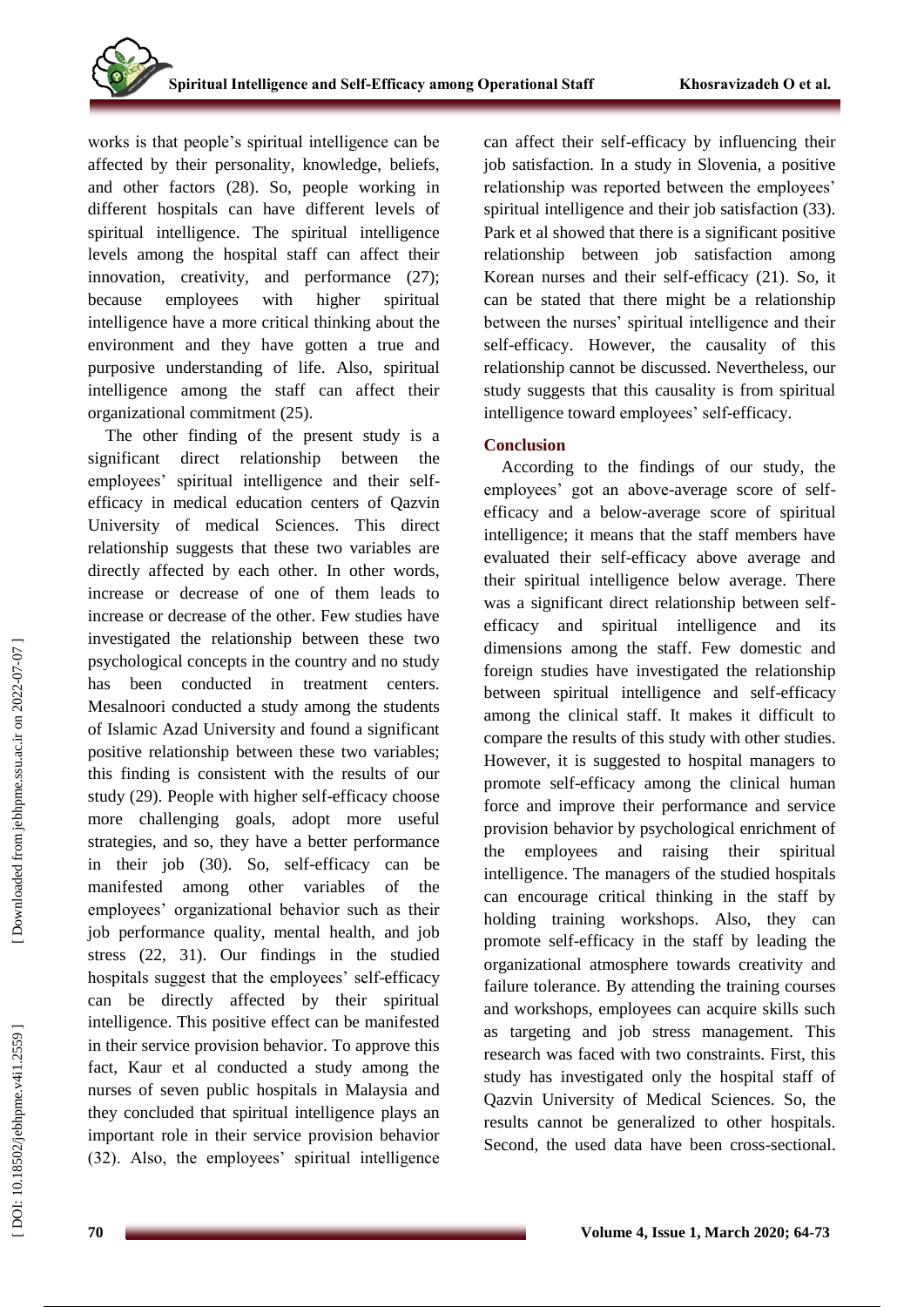works is that people's spiritual intelligence can be affected by their personality, knowledge, beliefs, and other factors (28). So, people working in different hospitals can have different levels of spiritual intelligence. The spiritual intelligence levels among the hospital staff can affect their innovation, creativity, and performance (27); because employees with higher spiritual intelligence have a more critical thinking about the environment and they have gotten a true and purposive understanding of life. Also, spiritual intelligence among the staff can affect their organizational commitment (25).

The other finding of the present study is a significant direct relationship between the employees' spiritual intelligence and their selfefficacy in medical education centers of Qazvin University of medical Sciences. This direct relationship suggests that these two variables are directly affected by each other. In other words, increase or decrease of one of them leads to increase or decrease of the other. Few studies have investigated the relationship between these two psychological concepts in the country and no study has been conducted in treatment centers. Mesalnoori conducted a study among the students of Islamic Azad University and found a significant positive relationship between these two variables; this finding is consistent with the results of our study (29). People with higher self -efficacy choose more challenging goals, adopt more useful strategies, and so, they have a better performance in their job (30). So, self -efficacy can be manifested among other variables of the employees' organizational behavior such as their job performance quality, mental health, and job stress (22, 31). Our findings in the studied hospitals suggest that the employees' self-efficacy can be directly affected by their spiritual intelligence. This positive effect can be manifested in their service provision behavior. To approve this fact, Kaur et al conducted a study among the nurses of seven public hospitals in Malaysia and they concluded that spiritual intelligence plays an important role in their service provision behavior (32). Also, the employees' spiritual intelligence

can affect their self - efficacy by influencing their job satisfaction. In a study in Slovenia, a positive relationship was reported between the employees' spiritual intelligence and their job satisfaction (33). Park et al showed that there is a significant positive relationship between job satisfaction among Korean nurses and their self -efficacy (21). So, it can be stated that there might be a relationship between the nurses' spiritual intelligence and their self-efficacy. However, the causality of this relationship cannot be discussed. Nevertheless, our study suggests that this causality is from spiritual intelligence toward employees' self-efficacy.

# **Conclusion**

According to the findings of our study, the employees' got an above -average score of self efficacy and a below -average score of spiritual intelligence; it means that the staff members have evaluated their self -efficacy above average and their spiritual intelligence below average. There was a significant direct relationship between self efficacy and spiritual intelligence and its dimensions among the staff. Few domestic and foreign studies have investigated the relationship between spiritual intelligence and self -efficacy among the clinical staff. It makes it difficult to compare the results of this study with other studies. However, it is suggested to hospital managers to promote self-efficacy among the clinical human force and improve their performance and service provision behavior by psychological enrichment of the employees and raising their spiritual intelligence. The managers of the studied hospitals can encourage critical thinking in the staff by holding training workshops. Also, they can promote self-efficacy in the staff by leading the organizational atmosphere towards creativity and failure tolerance. By attending the training courses and workshops, employees can acquire skills such as targeting and job stress management. This research was faced with two constraints. First, this study has investigated only the hospital staff of Qazvin University of Medical Sciences. So, the results cannot be generalized to other hospitals. Second, the used data have been cross -sectional.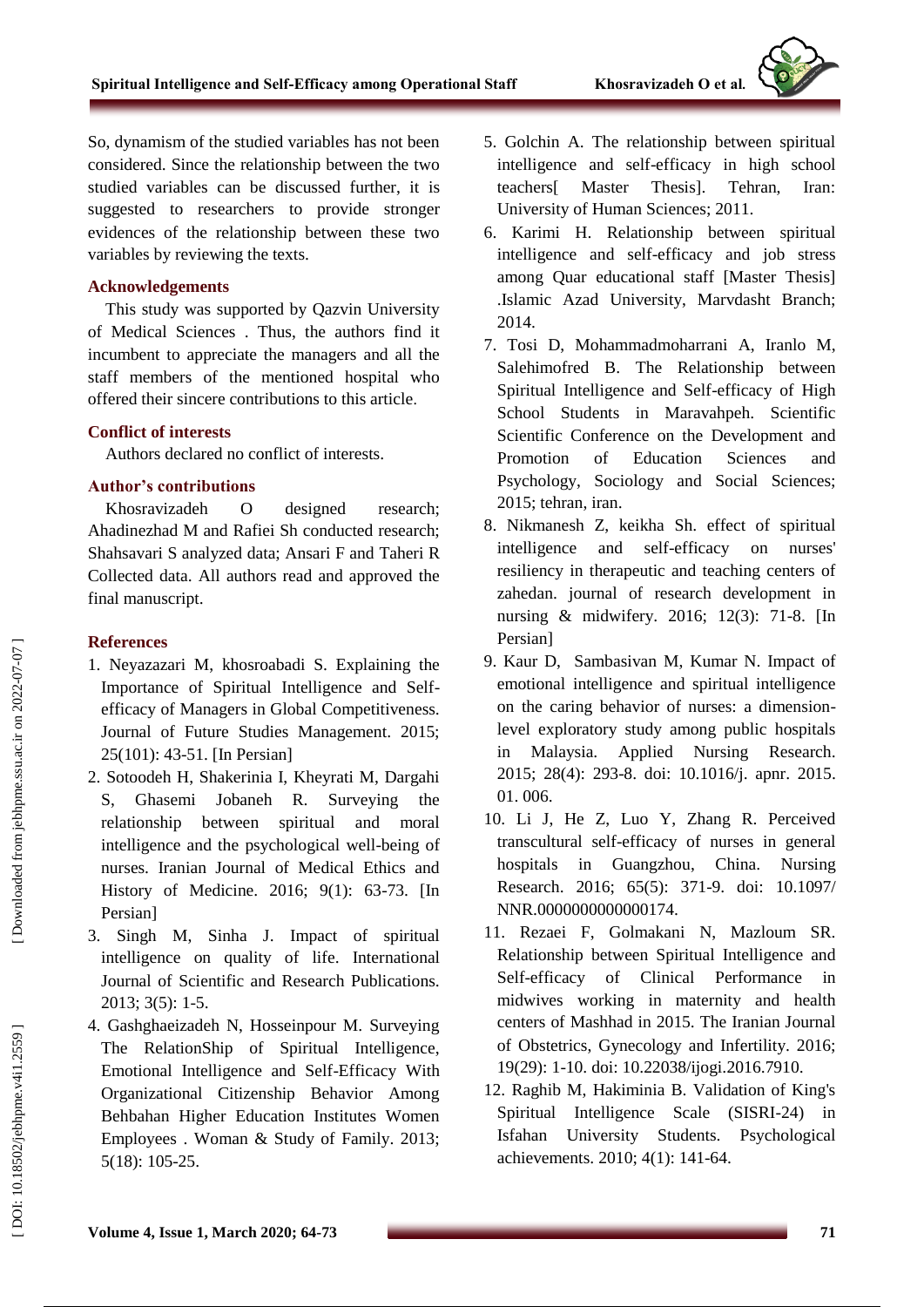So, dynamism of the studied variables has not been considered. Since the relationship between the two studied variables can be discussed further, it is suggested to researchers to provide stronger evidences of the relationship between these two variables by reviewing the texts.

#### **Acknowledgement s**

This study was supported by Qazvin University of Medical Sciences . Thus, the authors find it incumbent to appreciate the managers and all the staff members of the mentioned hospital who offered their sincere contributions to this article .

#### **Conflict of interests**

Authors declared no conflict of interests.

#### **Author's contribution s**

Khosravizadeh O designed research; Ahadinezhad M and Rafiei Sh conducted research; Shahsavari S analyzed data; Ansari F and Taheri R Collected data. All authors read and approved the final manuscript.

### **References**

- 1. Neyazazari M, khosroabadi S. Explaining the Importance of Spiritual Intelligence and Self efficacy of Managers in Global Competitiveness. Journal of Future Studies Management. 2015; 25(101): 43 -51. [In Persian]
- 2. Sotoodeh H, Shakerinia I, Kheyrati M, Dargahi S, Ghasemi Jobaneh R. Surveying the relationship between spiritual and moral intelligence and the psychological well -being of nurses. Iranian Journal of Medical Ethics and History of Medicine. 2016; 9(1): 63 -73. [In Persian]
- 3. Singh M, Sinha J. Impact of spiritual intelligence on quality of life. International Journal of Scientific and Research Publications. 2013; 3(5): 1 -5.
- 4. Gashghaeizadeh N, Hosseinpour M. Surveying The RelationShip of Spiritual Intelligence, Emotional Intelligence and Self -Efficacy With Organizational Citizenship Behavior Among Behbahan Higher Education Institutes Women Employees . Woman & Study of Family. 2013; 5(18): 105 -25.
- 5. Golchin A. The relationship between spiritual intelligence and self -efficacy in high school teachers[ Master Thesis]. Tehran, Iran: University of Human Sciences; 2011.
- 6. Karimi H. Relationship between spiritual intelligence and self -efficacy and job stress among Quar educational staff [Master Thesis] .Islamic Azad University, Marvdasht Branch; 2014.
- 7. Tosi D, Mohammadmoharrani A, Iranlo M, Salehimofred B. The Relationship between Spiritual Intelligence and Self -efficacy of High School Students in Maravahpeh. Scientific Scientific Conference on the Development and Promotion of Education Sciences and Psychology, Sociology and Social Sciences; 2015; tehran, iran .
- 8. Nikmanesh Z, keikha Sh. effect of spiritual intelligence and self on nurses' resiliency in therapeutic and teaching centers of zahedan. journal of research development in nursing & midwifery. 2016; 12(3): 71 -8. [In Persian]
- 9. Kaur D, Sambasivan M, Kumar N. Impact of emotional intelligence and spiritual intelligence on the caring behavior of nurses: a dimension level exploratory study among public hospitals in Malaysia. Applied Nursing Research. 2015; 28(4): 293 -8. doi: 10.1016/j. apnr. 2015. 01. 006.
- 10. Li J, He Z, Luo Y, Zhang R. Perceived transcultural self -efficacy of nurses in general hospitals in Guangzhou, China. Nursing Research. 2016; 65(5): 371 -9. doi: 10.1097/ NNR.0000000000000174.
- 11. Rezaei F, Golmakani N, Mazloum SR. Relationship between Spiritual Intelligence and Self-efficacy of Clinical Performance in midwives working in maternity and health centers of Mashhad in 2015. The Iranian Journal of Obstetrics, Gynecology and Infertility. 2016; 19(29): 1 -10. doi: 10.22038/ijogi.2016.7910.
- 12. Raghib M, Hakiminia B. Validation of King's Spiritual Intelligence Scale (SISRI -24) in Isfahan University Students. Psychological achievements. 2010; 4(1): 141 -64.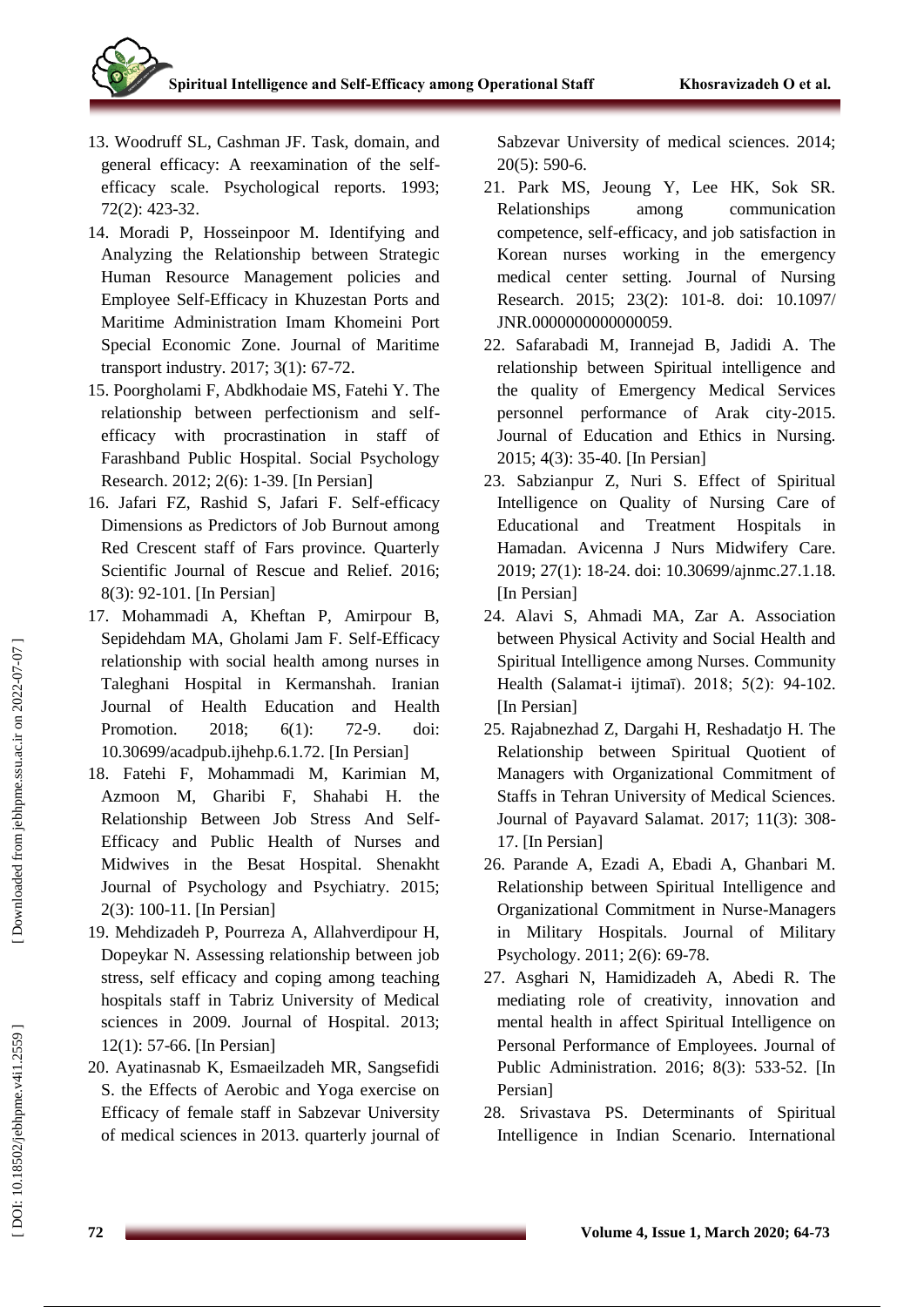- 13. Woodruff SL, Cashman JF. Task, domain, and general efficacy: A reexamination of the self efficacy scale. Psychological reports. 1993; 72(2): 423 -32 .
- 14. Moradi P, Hosseinpoor M. Identifying and Analyzing the Relationship between Strategic Human Resource Management policies and Employee Self-Efficacy in Khuzestan Ports and Maritime Administration Imam Khomeini Port Special Economic Zone. Journal of Maritime transport industry. 2017; 3(1): 67 -72.
- 15. Poorgholami F, Abdkhodaie MS, Fatehi Y. The relationship between perfectionism and self efficacy with procrastination in staff of Farashband Public Hospital. Social Psychology Research. 2012; 2(6): 1 -39. [In Persian]
- 16. Jafari FZ, Rashid S, Jafari F. Self -efficacy Dimensions as Predictors of Job Burnout among Red Crescent staff of Fars province. Quarterly Scientific Journal of Rescue and Relief. 2016; 8(3): 92 -101. [In Persian]
- 17. Mohammadi A, Kheftan P, Amirpour B, Sepidehdam MA, Gholami Jam F. Self -Efficacy relationship with social health among nurses in Taleghani Hospital in Kermanshah. Iranian Journal of Health Education and Health Promotion. 2018: 6(1): 72-9. doi: 10.30699/acadpub.ijhehp.6.1.72. [In Persian]
- 18. Fatehi F, Mohammadi M, Karimian M, Azmoon M, Gharibi F, Shahabi H. the Relationship Between Job Stress And Self - Efficacy and Public Health of Nurses and Midwives in the Besat Hospital. Shenakht Journal of Psychology and Psychiatry. 2015; 2(3): 100 -11. [In Persian]
- 19. Mehdizadeh P, Pourreza A, Allahverdipour H, Dopeykar N. Assessing relationship between job stress, self efficacy and coping among teaching hospitals staff in Tabriz University of Medical sciences in 2009. Journal of Hospital. 2013; 12(1): 57 -66. [In Persian]
- 20. Ayatinasnab K, Esmaeilzadeh MR, Sangsefidi S. the Effects of Aerobic and Yoga exercise on Efficacy of female staff in Sabzevar University of medical sciences in 2013. quarterly journal of

Sabzevar University of medical sciences. 2014; 20(5): 590 -6.

- 21. Park MS, Jeoung Y, Lee HK, Sok SR. Relationships among communication competence, self-efficacy, and job satisfaction in Korean nurses working in the emergency medical center setting. Journal of Nursing Research. 2015; 23(2): 101 -8. doi: 10.1097/ JNR.0000000000000059.
- 22. Safarabadi M, Irannejad B, Jadidi A. The relationship between Spiritual intelligence and the quality of Emergency Medical Services personnel performance of Arak city -2015. Journal of Education and Ethics in Nursing. 2015; 4(3): 35 -40. [In Persian]
- 23. Sabzianpur Z, Nuri S. Effect of Spiritual Intelligence on Quality of Nursing Care of Educational and Treatment Hospitals in Hamadan. Avicenna J Nurs Midwifery Care. 2019; 27(1): 18 -24. doi: 10.30699/ajnmc.27.1.18. [In Persian]
- 24. Alavi S, Ahmadi MA, Zar A. Association between Physical Activity and Social Health and Spiritual Intelligence among Nurses. Community Health (Salamat -i ijtimaī). 2018; 5(2): 94 -102. [In Persian]
- 25. Rajabnezhad Z, Dargahi H, Reshadatjo H. The Relationship between Spiritual Quotient of Managers with Organizational Commitment of Staffs in Tehran University of Medical Sciences. Journal of Payavard Salamat. 2017; 11(3): 308 - 17. [In Persian]
- 26. Parande A, Ezadi A, Ebadi A, Ghanbari M. Relationship between Spiritual Intelligence and Organizational Commitment in Nurse -Managers in Military Hospitals. Journal of Military Psychology. 2011; 2(6): 69 -78.
- 27. Asghari N, Hamidizadeh A, Abedi R. The mediating role of creativity, innovation and mental health in affect Spiritual Intelligence on Personal Performance of Employees. Journal of Public Administration. 2016; 8(3): 533 -52. [In Persian]
- 28. Srivastava PS. Determinants of Spiritual Intelligence in Indian Scenario. International